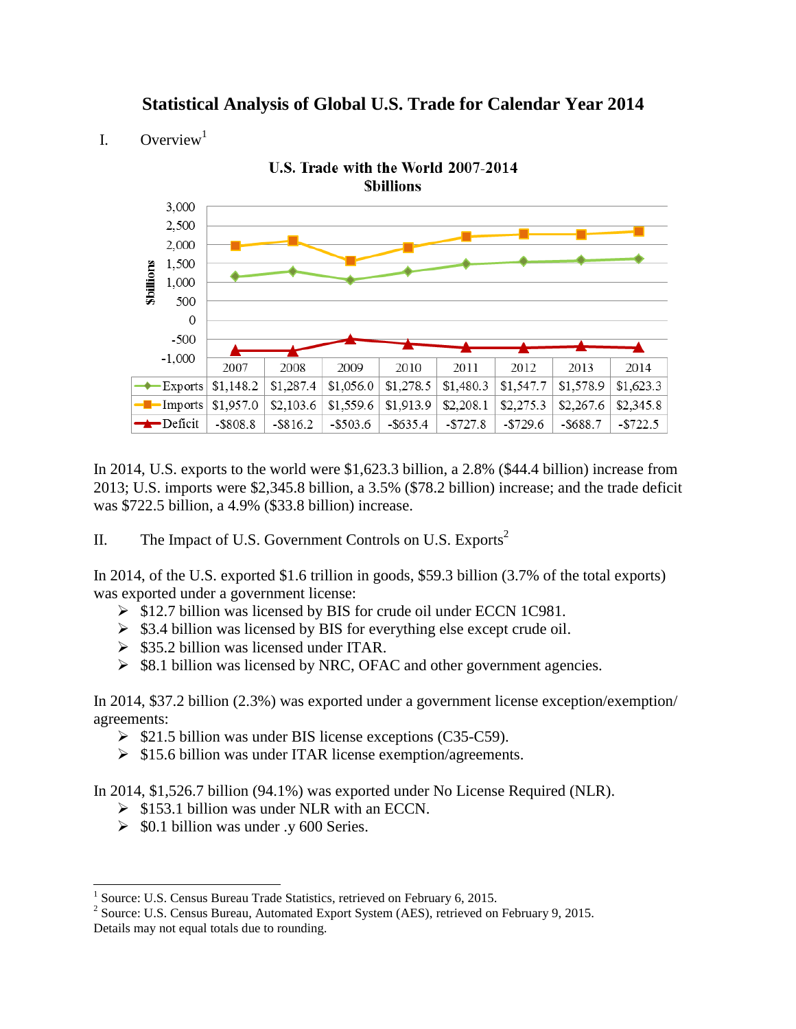**Statistical Analysis of Global U.S. Trade for Calendar Year 2014**

I. Overview<sup>1</sup>



In 2014, U.S. exports to the world were \$1,623.3 billion, a 2.8% (\$44.4 billion) increase from 2013; U.S. imports were \$2,345.8 billion, a 3.5% (\$78.2 billion) increase; and the trade deficit was \$722.5 billion, a 4.9% (\$33.8 billion) increase.

II. The Impact of U.S. Government Controls on U.S. Exports<sup>2</sup>

In 2014, of the U.S. exported \$1.6 trillion in goods, \$59.3 billion (3.7% of the total exports) was exported under a government license:

- $\triangleright$  \$12.7 billion was licensed by BIS for crude oil under ECCN 1C981.
- $\triangleright$  \$3.4 billion was licensed by BIS for everything else except crude oil.
- $\geq$  \$35.2 billion was licensed under ITAR.
- $\triangleright$  \$8.1 billion was licensed by NRC, OFAC and other government agencies.

In 2014, \$37.2 billion (2.3%) was exported under a government license exception/exemption/ agreements:

- $\triangleright$  \$21.5 billion was under BIS license exceptions (C35-C59).
- $\triangleright$  \$15.6 billion was under ITAR license exemption/agreements.

In 2014, \$1,526.7 billion (94.1%) was exported under No License Required (NLR).

- $\triangleright$  \$153.1 billion was under NLR with an ECCN.
- $\geq$  \$0.1 billion was under .y 600 Series.

 1 Source: U.S. Census Bureau Trade Statistics, retrieved on February 6, 2015.

<sup>&</sup>lt;sup>2</sup> Source: U.S. Census Bureau, Automated Export System (AES), retrieved on February 9, 2015. Details may not equal totals due to rounding.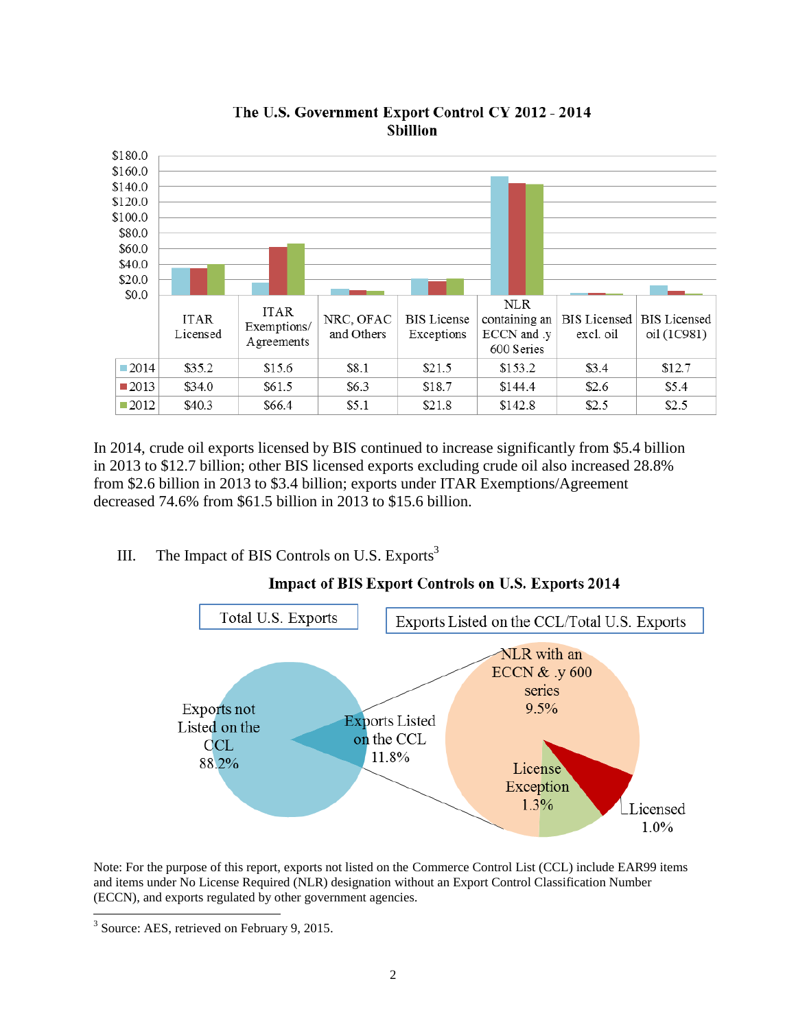

#### The U.S. Government Export Control CY 2012 - 2014 **Sbillion**

In 2014, crude oil exports licensed by BIS continued to increase significantly from \$5.4 billion in 2013 to \$12.7 billion; other BIS licensed exports excluding crude oil also increased 28.8% from \$2.6 billion in 2013 to \$3.4 billion; exports under ITAR Exemptions/Agreement decreased 74.6% from \$61.5 billion in 2013 to \$15.6 billion.

#### III. The Impact of BIS Controls on U.S. Exports<sup>3</sup>



# Impact of BIS Export Controls on U.S. Exports 2014

Note: For the purpose of this report, exports not listed on the Commerce Control List (CCL) include EAR99 items and items under No License Required (NLR) designation without an Export Control Classification Number (ECCN), and exports regulated by other government agencies.

l

<sup>&</sup>lt;sup>3</sup> Source: AES, retrieved on February 9, 2015.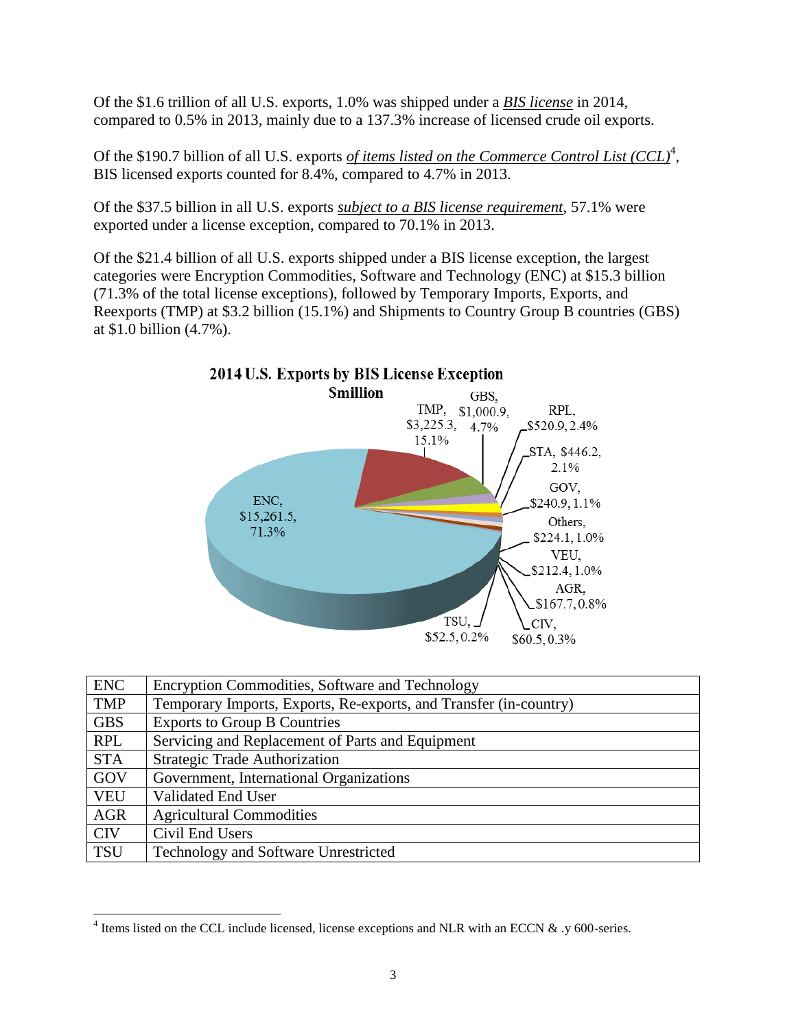Of the \$1.6 trillion of all U.S. exports, 1.0% was shipped under a *BIS license* in 2014, compared to 0.5% in 2013, mainly due to a 137.3% increase of licensed crude oil exports.

Of the \$190.7 billion of all U.S. exports *of items listed on the Commerce Control List (CCL)<sup>4</sup>*, BIS licensed exports counted for 8.4%, compared to 4.7% in 2013.

Of the \$37.5 billion in all U.S. exports *subject to a BIS license requirement*, 57.1% were exported under a license exception, compared to 70.1% in 2013.

Of the \$21.4 billion of all U.S. exports shipped under a BIS license exception, the largest categories were Encryption Commodities, Software and Technology (ENC) at \$15.3 billion (71.3% of the total license exceptions), followed by Temporary Imports, Exports, and Reexports (TMP) at \$3.2 billion (15.1%) and Shipments to Country Group B countries (GBS) at \$1.0 billion (4.7%).



| <b>ENC</b> | Encryption Commodities, Software and Technology                   |
|------------|-------------------------------------------------------------------|
| <b>TMP</b> | Temporary Imports, Exports, Re-exports, and Transfer (in-country) |
| <b>GBS</b> | <b>Exports to Group B Countries</b>                               |
| <b>RPL</b> | Servicing and Replacement of Parts and Equipment                  |
| <b>STA</b> | <b>Strategic Trade Authorization</b>                              |
| GOV        | Government, International Organizations                           |
| <b>VEU</b> | Validated End User                                                |
| <b>AGR</b> | <b>Agricultural Commodities</b>                                   |
| <b>CIV</b> | Civil End Users                                                   |
| <b>TSU</b> | Technology and Software Unrestricted                              |

l

<sup>&</sup>lt;sup>4</sup> Items listed on the CCL include licensed, license exceptions and NLR with an ECCN  $\&$  .y 600-series.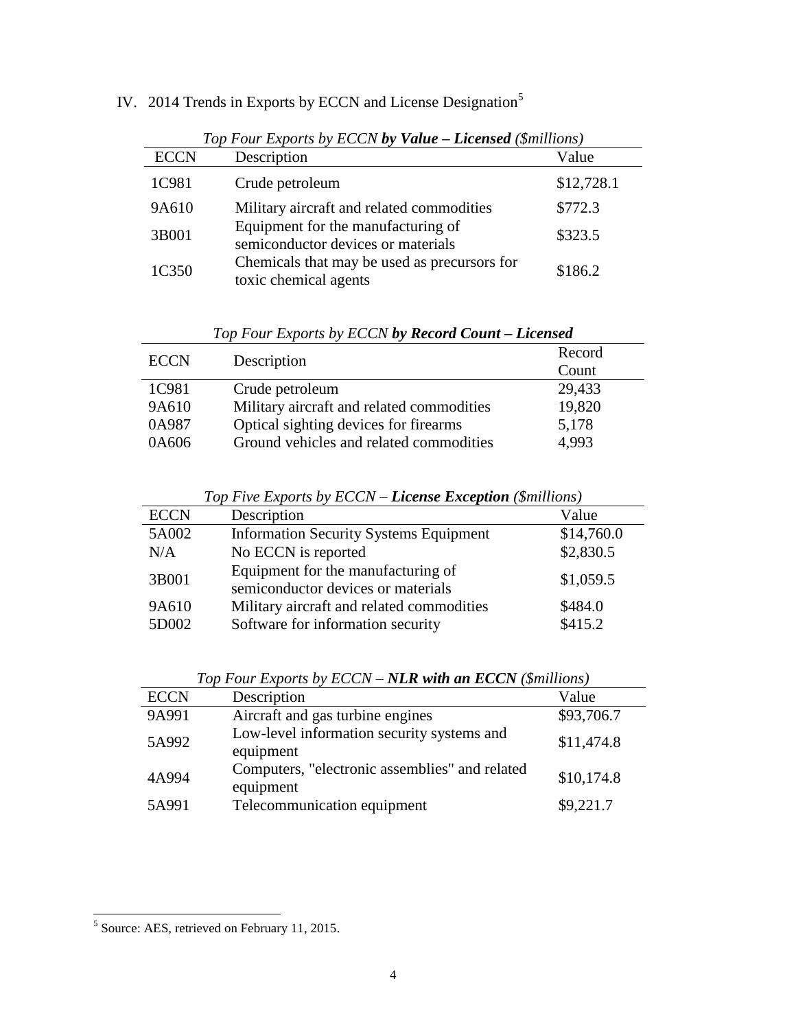| Top Four Exports by ECCN by Value - Licensed (\$millions) |                                                                          |            |  |  |  |
|-----------------------------------------------------------|--------------------------------------------------------------------------|------------|--|--|--|
| <b>ECCN</b>                                               | Description                                                              | Value      |  |  |  |
| 1C981                                                     | Crude petroleum                                                          | \$12,728.1 |  |  |  |
| 9A610                                                     | Military aircraft and related commodities                                | \$772.3    |  |  |  |
| 3B001                                                     | Equipment for the manufacturing of<br>semiconductor devices or materials | \$323.5    |  |  |  |
| 1C350                                                     | Chemicals that may be used as precursors for<br>toxic chemical agents    | \$186.2    |  |  |  |

IV. 2014 Trends in Exports by ECCN and License Designation<sup>5</sup>

| 1C981 | Crude petroleum                                                          | \$12,728.1 |
|-------|--------------------------------------------------------------------------|------------|
| 9A610 | Military aircraft and related commodities                                | \$772.3    |
| 3B001 | Equipment for the manufacturing of<br>semiconductor devices or materials | \$323.5    |
| 1C350 | Chemicals that may be used as precursors for<br>toxic chemical agents    | \$186.2    |

*Top Four Exports by ECCN by Record Count – Licensed*

| <b>ECCN</b> | Description                               | Record<br>Count |
|-------------|-------------------------------------------|-----------------|
| 1C981       | Crude petroleum                           | 29,433          |
| 9A610       | Military aircraft and related commodities | 19,820          |
| 0A987       | Optical sighting devices for firearms     | 5,178           |
| 0A606       | Ground vehicles and related commodities   | 4,993           |

*Top Five Exports by ECCN – License Exception (\$millions)*

| <b>ECCN</b>    | Description                                                                    | Value              |
|----------------|--------------------------------------------------------------------------------|--------------------|
| 5A002          | <b>Information Security Systems Equipment</b>                                  | \$14,760.0         |
| N/A            | No ECCN is reported                                                            | \$2,830.5          |
| 3B001          | Equipment for the manufacturing of<br>semiconductor devices or materials       | \$1,059.5          |
| 9A610<br>5D002 | Military aircraft and related commodities<br>Software for information security | \$484.0<br>\$415.2 |

*Top Four Exports by ECCN – NLR with an ECCN (\$millions)*

| <b>ECCN</b> | Description                                                 | Value      |
|-------------|-------------------------------------------------------------|------------|
| 9A991       | Aircraft and gas turbine engines                            | \$93,706.7 |
| 5A992       | Low-level information security systems and<br>equipment     | \$11,474.8 |
| 4A994       | Computers, "electronic assemblies" and related<br>equipment | \$10,174.8 |
| 5A991       | Telecommunication equipment                                 | \$9,221.7  |

<sup>&</sup>lt;sup>5</sup> Source: AES, retrieved on February 11, 2015.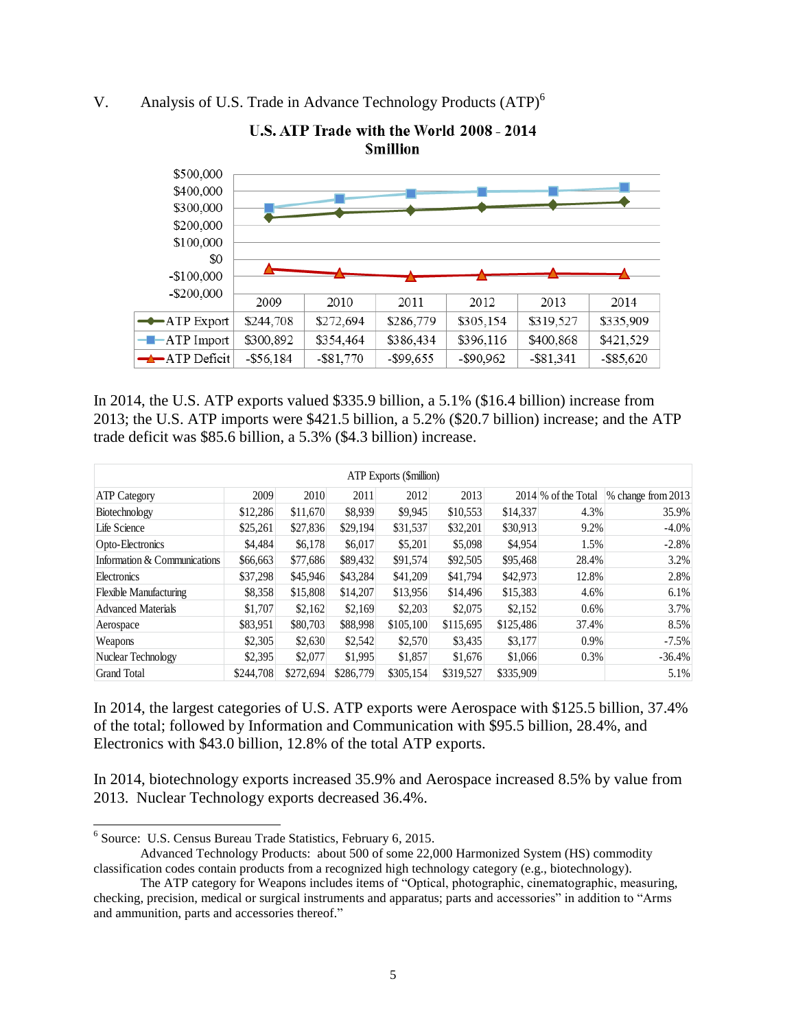### V. Analysis of U.S. Trade in Advance Technology Products (ATP)<sup>6</sup>



U.S. ATP Trade with the World 2008 - 2014 **Smillion** 

In 2014, the U.S. ATP exports valued \$335.9 billion, a 5.1% (\$16.4 billion) increase from 2013; the U.S. ATP imports were \$421.5 billion, a 5.2% (\$20.7 billion) increase; and the ATP trade deficit was \$85.6 billion, a 5.3% (\$4.3 billion) increase.

| <b>ATP</b> Exports (\$million) |           |           |           |           |           |           |                     |                    |
|--------------------------------|-----------|-----------|-----------|-----------|-----------|-----------|---------------------|--------------------|
| <b>ATP Category</b>            | 2009      | 2010      | 2011      | 2012      | 2013      |           | 2014 % of the Total | % change from 2013 |
| Biotechnology                  | \$12,286  | \$11,670  | \$8,939   | \$9,945   | \$10,553  | \$14,337  | 4.3%                | 35.9%              |
| Life Science                   | \$25,261  | \$27,836  | \$29,194  | \$31,537  | \$32,201  | \$30,913  | 9.2%                | $-4.0\%$           |
| Opto-Electronics               | \$4,484   | \$6,178   | \$6,017   | \$5,201   | \$5,098   | \$4,954   | 1.5%                | $-2.8%$            |
| Information & Communications   | \$66,663  | \$77,686  | \$89,432  | \$91,574  | \$92,505  | \$95,468  | 28.4%               | 3.2%               |
| Electronics                    | \$37,298  | \$45,946  | \$43,284  | \$41,209  | \$41,794  | \$42,973  | 12.8%               | 2.8%               |
| <b>Flexible Manufacturing</b>  | \$8,358   | \$15,808  | \$14,207  | \$13,956  | \$14,496  | \$15,383  | 4.6%                | 6.1%               |
| <b>Advanced Materials</b>      | \$1,707   | \$2,162   | \$2,169   | \$2,203   | \$2,075   | \$2,152   | 0.6%                | 3.7%               |
| Aerospace                      | \$83,951  | \$80,703  | \$88,998  | \$105,100 | \$115,695 | \$125,486 | 37.4%               | 8.5%               |
| Weapons                        | \$2,305   | \$2,630   | \$2,542   | \$2,570   | \$3,435   | \$3,177   | 0.9%                | $-7.5%$            |
| Nuclear Technology             | \$2,395   | \$2,077   | \$1,995   | \$1,857   | \$1,676   | \$1,066   | 0.3%                | $-36.4%$           |
| <b>Grand Total</b>             | \$244,708 | \$272,694 | \$286,779 | \$305,154 | \$319,527 | \$335,909 |                     | 5.1%               |

In 2014, the largest categories of U.S. ATP exports were Aerospace with \$125.5 billion, 37.4% of the total; followed by Information and Communication with \$95.5 billion, 28.4%, and Electronics with \$43.0 billion, 12.8% of the total ATP exports.

In 2014, biotechnology exports increased 35.9% and Aerospace increased 8.5% by value from 2013. Nuclear Technology exports decreased 36.4%.

 $\overline{a}$ 

<sup>6</sup> Source: U.S. Census Bureau Trade Statistics, February 6, 2015.

Advanced Technology Products: about 500 of some 22,000 Harmonized System (HS) commodity classification codes contain products from a recognized high technology category (e.g., biotechnology).

The ATP category for Weapons includes items of "Optical, photographic, cinematographic, measuring, checking, precision, medical or surgical instruments and apparatus; parts and accessories" in addition to "Arms and ammunition, parts and accessories thereof."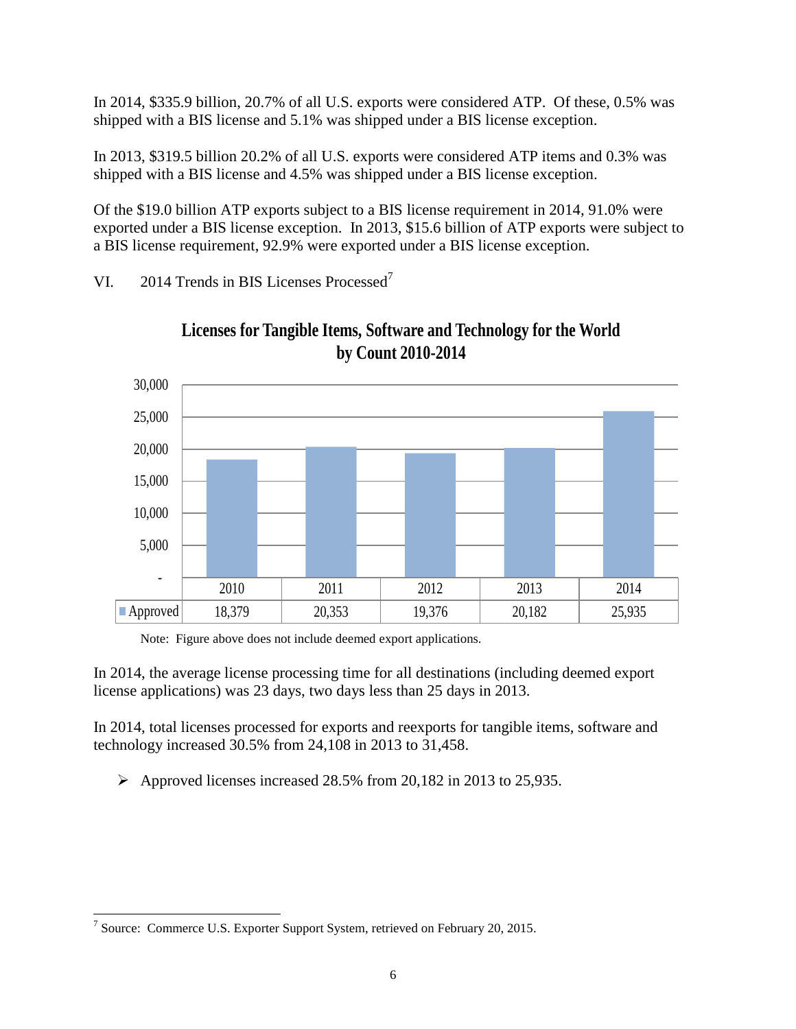In 2014, \$335.9 billion, 20.7% of all U.S. exports were considered ATP. Of these, 0.5% was shipped with a BIS license and 5.1% was shipped under a BIS license exception.

In 2013, \$319.5 billion 20.2% of all U.S. exports were considered ATP items and 0.3% was shipped with a BIS license and 4.5% was shipped under a BIS license exception.

Of the \$19.0 billion ATP exports subject to a BIS license requirement in 2014, 91.0% were exported under a BIS license exception. In 2013, \$15.6 billion of ATP exports were subject to a BIS license requirement, 92.9% were exported under a BIS license exception.

VI. 2014 Trends in BIS Licenses Processed<sup>7</sup>





Note: Figure above does not include deemed export applications.

In 2014, the average license processing time for all destinations (including deemed export license applications) was 23 days, two days less than 25 days in 2013.

In 2014, total licenses processed for exports and reexports for tangible items, software and technology increased 30.5% from 24,108 in 2013 to 31,458.

 $\triangleright$  Approved licenses increased 28.5% from 20,182 in 2013 to 25,935.

l <sup>7</sup> Source: Commerce U.S. Exporter Support System, retrieved on February 20, 2015.